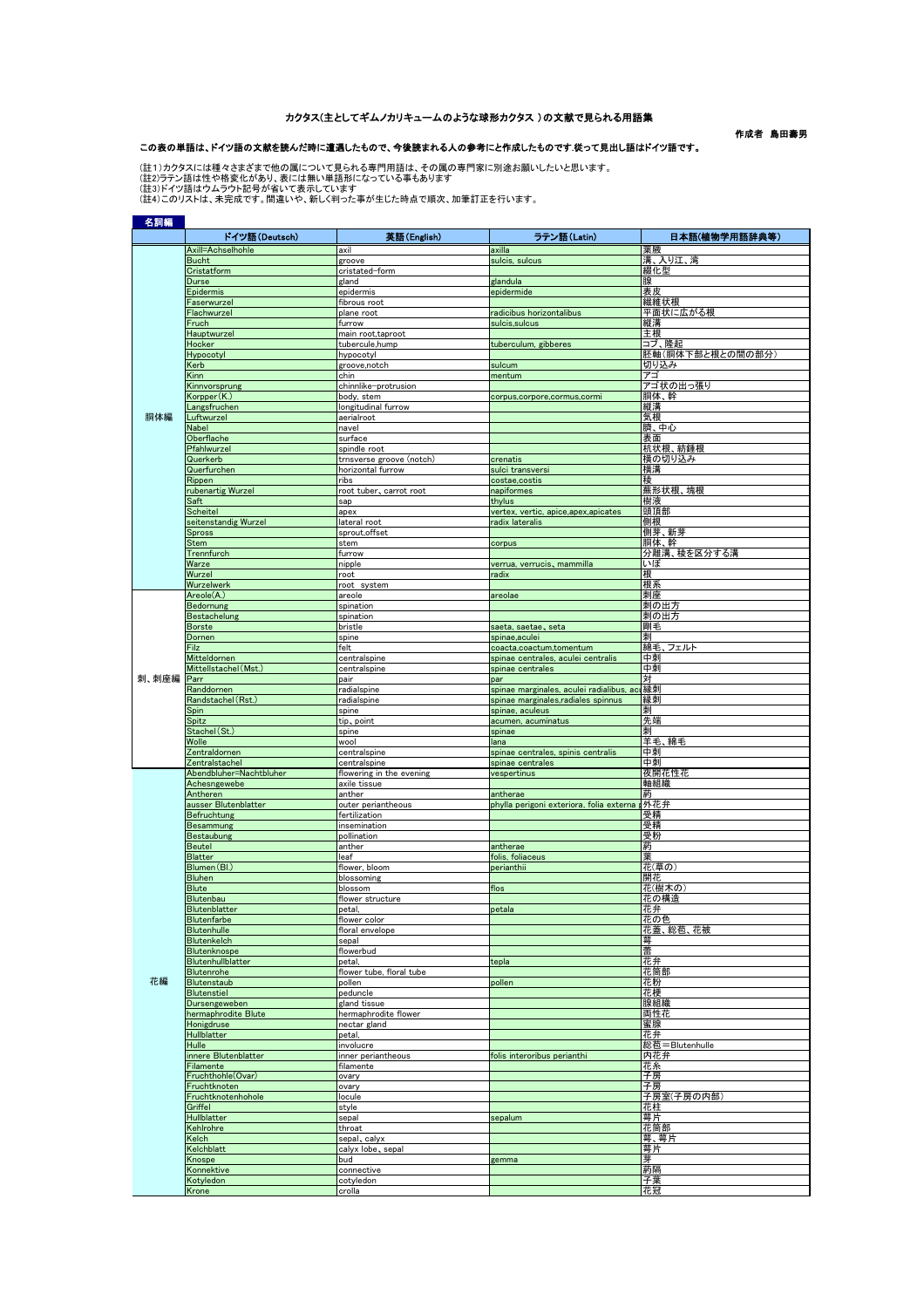## カクタス(主としてギムノカリキュームのような球形カクタス )の文献で見られる用語集

作成者 島田壽男

## この表の単語は、ドイツ語の文献を読んだ時に遭遇したもので、今後読まれる人の参考にと作成したものです.従って見出し語はドイツ語です。

(註1)カクタスには種々さまざまで他の属について見られる専門用語は、その属の専門家に別途お願いしたいと思います。<br>(註2)ラテン語は性や格変化があり、表には無い単語形になっている事もあります<br>(註3)ドイツ語はウムラウト記号が省いて表示しています。<br>(註4)このリストは、未完成です。間違いや、新しく判った事が生じた時点で順次、加筆訂正を行います。

| 名詞編   |                                         |                                          |                                                               |                  |
|-------|-----------------------------------------|------------------------------------------|---------------------------------------------------------------|------------------|
|       | ドイツ語(Deutsch)                           | 英語(English)                              | ラテン語 (Latin)                                                  | 日本語(植物学用語辞典等)    |
|       | Axill=Achselhohle                       | axil                                     | axilla                                                        | 葉腋               |
|       | <b>Bucht</b>                            | groove                                   | sulcis, sulcus                                                | 溝、入り江、湾          |
|       | Cristatform                             | cristated-form                           |                                                               | 綴化型              |
|       | Durse<br>Epidermis                      | gland<br>epidermis                       | glandula<br>epidermide                                        | 腺<br>表皮          |
|       | Faserwurzel                             | fibrous root                             |                                                               | 繊維状根             |
|       | Flachwurzel                             | plane root                               | radicibus horizontalibus                                      | 平面状に広がる根         |
|       | Fruch                                   | furrow                                   | sulcis, sulcus                                                | 縦溝               |
|       | Hauptwurzel                             | main root,taproot                        |                                                               | 主根               |
|       | Hocker                                  | tubercule,hump                           | tuberculum, gibberes                                          | コブ、隆起            |
|       | Hypocotyl                               | hypocotyl                                |                                                               | 胚軸(胴体下部と根との間の部分) |
|       | Kerb<br>Kinn                            | groove, notch<br>chin                    | sulcum<br>mentum                                              | 切り込み<br>アゴ       |
|       | Kinnvorsprung                           | chinnlike-protrusion                     |                                                               | アゴ状の出っ張り         |
|       | Korpper(K.)                             | body, stem                               | corpus,corpore,cormus,cormi                                   | 胴体、幹             |
| 胴体編   | Langsfruchen                            | longitudinal furrow                      |                                                               | 縦溝               |
|       | Luftwurzel                              | aerialroot                               |                                                               | 気根<br>臍、中心       |
|       | Nabel<br>Oberflache                     | navel<br>surface                         |                                                               | 表面               |
|       | Pfahlwurzel                             | spindle root                             |                                                               | 杭状根、紡錘根          |
|       | Querkerb                                | trnsverse groove (notch)                 | crenatis                                                      | 横の切り込み           |
|       | Querfurchen                             | horizontal furrow                        | sulci transversi                                              | 横溝               |
|       | Rippen                                  | ribs                                     | costae,costis                                                 | 稜                |
|       | rubenartig Wurzel                       | root tuber, carrot root                  | napiformes                                                    | 蕪形状根、塊根          |
|       | Saft<br>Scheitel                        | sap<br>apex                              | thylus<br>vertex, vertic, apice,apex,apicates                 | 樹液<br>頭頂部        |
|       | seitenstandig Wurzel                    | lateral root                             | radix lateralis                                               | 側根               |
|       | <b>Spross</b>                           | sprout, offset                           |                                                               | 側芽、新芽            |
|       | Stem                                    | stem                                     | corpus                                                        | 胴体、幹             |
|       | Trennfurch                              | furrow                                   |                                                               | 分離溝、稜を区分する溝      |
|       | Warze                                   | nipple                                   | verrua, verrucis, mammilla                                    | いぼ               |
|       | Wurzel                                  | root<br>root system                      | radix                                                         | 根<br>根系          |
|       | Wurzelwerk<br>Areole(A.)                | areole                                   | areolae                                                       | 刺座               |
|       | Bedornung                               | spination                                |                                                               | 刺の出方             |
|       | <b>Bestachelung</b>                     | spination                                |                                                               | 刺の出方             |
|       | <b>Borste</b>                           | bristle                                  | saeta, saetae, seta                                           | 剛毛               |
|       | Dornen                                  | spine                                    | spinae,aculei                                                 | 刺                |
|       | Filz<br>Mitteldornen                    | felt<br>centralspine                     | coacta,coactum,tomentum<br>spinae centrales, aculei centralis | 綿毛、フェルト<br>中東    |
|       | Mittellstachel (Mst.                    | centralspine                             | spinae centrales                                              | 中刺               |
| 刺、刺座編 | Parr                                    | pair                                     | par                                                           | 対                |
|       | Randdornen                              | radialspine                              | spinae marginales, aculei radialibus, act 縁刺                  |                  |
|       | Randstachel (Rst.)                      | radialspine                              | spinae marginales, radiales spinnus                           | 縁刺               |
|       | Spin<br>Spitz                           | spine<br>tip, point                      | spinae, aculeus<br>acumen, acuminatus                         | 刺<br>先端          |
|       | Stachel (St.)                           | spine                                    | spinae                                                        | 刺                |
|       | Wolle                                   | wool                                     | lana                                                          | 羊毛、綿毛            |
|       | Zentraldornen                           | centralspine                             | spinae centrales, spinis centralis                            | 中刺               |
|       | Zentralstachel                          | centralspine                             | spinae centrales                                              | 中刺               |
|       | Abendbluher=Nachtbluher<br>Achesngewebe | flowering in the evening<br>axile tissue | vespertinus                                                   | 夜開花性花<br>軸組織     |
|       | Antheren                                | anther                                   | antherae                                                      |                  |
|       | ausser Blutenblatter                    | outer periantheous                       | phylla perigoni exteriora, folia externa p外花弁                 |                  |
|       | Befruchtung                             | fertilization                            |                                                               | 受精               |
|       | Besammung<br>Bestaubung                 | insemination<br>pollination              |                                                               | 受精<br>受粉         |
|       | <b>Beutel</b>                           | anther                                   | antherae                                                      | 葯                |
|       | <b>Blatter</b>                          | leaf                                     | folis, foliaceus                                              | 葉                |
|       | Blumen (Bl.)                            | flower, bloom                            | perianthii                                                    | 花(草の)            |
|       | <b>Bluhen</b>                           | blossoming                               |                                                               | 開花               |
|       | <b>Blute</b>                            | blossom                                  | flos                                                          | 花(樹木の)           |
|       | Blutenbau<br>Blutenblatter              | flower structure<br>petal,               | petala                                                        | 花の構造<br>花弁       |
|       | Blutenfarbe                             | flower color                             |                                                               | 花の色              |
|       | <b>Blutenhulle</b>                      | floral envelope                          |                                                               | 花蓋、総苞、花被         |
|       | Blutenkelch                             | sepal                                    |                                                               | 萼                |
|       | Blutenknospe                            | flowerbud                                |                                                               | 蕾                |
|       | Blutenhullblatter<br>Blutenrohe         | petal.<br>flower tube, floral tube       | tepla                                                         | 花弁<br>花筒部        |
| 花編    | Blutenstaub                             | pollen                                   | pollen                                                        | 花粉               |
|       | Blutenstiel                             | peduncle                                 |                                                               | 花梗               |
|       | Dursengeweben                           | gland tissue                             |                                                               | 腺組織              |
|       | hermaphrodite Blute                     | hermaphrodite flower                     |                                                               | 両性花              |
|       | Honigdruse<br><b>Hullblatter</b>        | nectar gland<br>petal,                   |                                                               | 蜜腺<br>花弁         |
|       | Hulle                                   | involucre                                |                                                               | 総苞=Blutenhulle   |
|       | innere Blutenblatter                    | inner periantheous                       | folis interoribus perianthi                                   | 内花弁              |
|       | Filamente                               | filamente                                |                                                               | 花糸               |
|       | Fruchthohle(Ovar)                       | ovary                                    |                                                               | 子房               |
|       | Fruchtknoten<br>Fruchtknotenhohole      | ovary<br>locule                          |                                                               | 子房<br>子房室(子房の内部  |
|       | Griffel                                 | style                                    |                                                               | 花柱               |
|       | Hullblatter                             | sepal                                    | sepalum                                                       | 萼片               |
|       | Kehlrohre                               | throat                                   |                                                               | 花筒部              |
|       | Kelch<br>Kelchblatt                     | sepal, calyx<br>calyx lobe, sepal        |                                                               | 萼、萼片             |
|       | Knospe                                  | bud                                      | gemma                                                         | 萼片<br>芽          |
|       | Konnektive                              | connective                               |                                                               | 葯隔               |
|       | Kotyledon                               | cotyledon                                |                                                               | 子葉               |
|       | Krone                                   | crolla                                   |                                                               | 花冠               |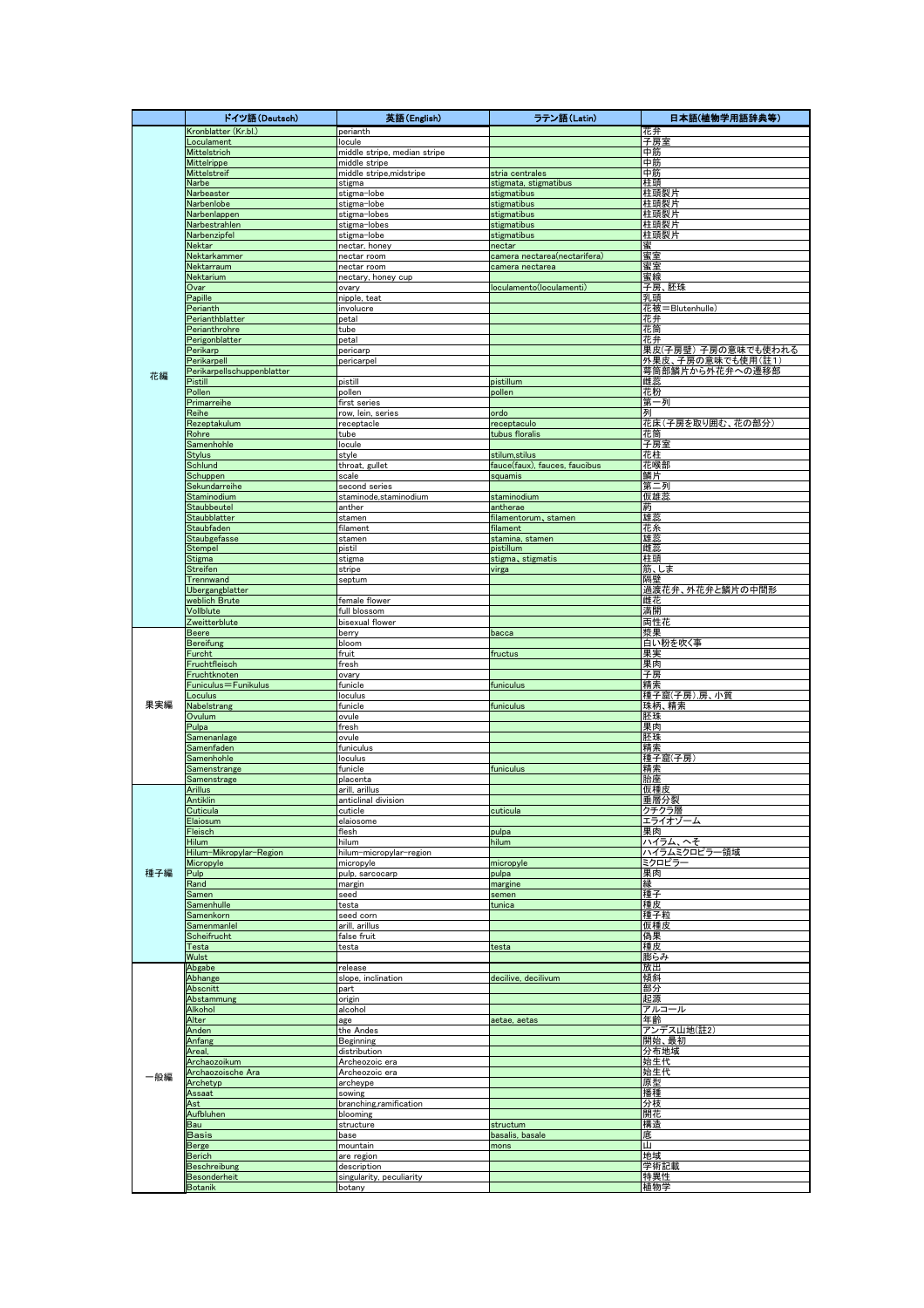|     | ドイツ語(Deutsch)                       | 英語(English)                                   | ラテン語 (Latin)                                    | 日本語(植物学用語辞典等)                                   |
|-----|-------------------------------------|-----------------------------------------------|-------------------------------------------------|-------------------------------------------------|
|     | Kronblatter (Kr.bl.)                | perianth                                      |                                                 | 花弁                                              |
|     | Loculament                          | locule                                        |                                                 | 子房室                                             |
|     | Mittelstrich<br><b>Mittelrippe</b>  | middle stripe, median stripe<br>middle stripe |                                                 | 中筋<br>中筋                                        |
|     | Mittelstreif                        | middle stripe,midstripe                       | stria centrales                                 | 中筋                                              |
|     | Narbe                               | stigma                                        | stigmata, stigmatibus                           | 柱頭                                              |
|     | Narbeaster                          | stigma-lobe                                   | stigmatibus<br>stigmatibus                      | 柱頭裂片<br>柱頭裂片                                    |
|     | Narbenlobe<br>Narbenlappen          | stigma-lobe<br>stigma-lobes                   | stigmatibus                                     | 柱頭裂片                                            |
|     | Narbestrahlen                       | stigma-lobes                                  | stigmatibus                                     | 柱頭裂片                                            |
|     | Narbenzipfel                        | stigma-lobe                                   | stigmatibus                                     | 柱頭裂片                                            |
|     | Nektar                              | nectar, honey                                 | nectar                                          | 蜜                                               |
|     | Nektarkammer<br>Nektarraum          | nectar room<br>nectar room                    | camera nectarea(nectarifera)<br>camera nectarea | 蜜室<br>蜜室                                        |
|     | Nektarium                           | nectary, honey cup                            |                                                 | 蜜線                                              |
|     | Ovar                                | ovary                                         | loculamento(loculamenti)                        | 胚珠<br>子房、                                       |
|     | Papille<br>Perianth                 | nipple, teat                                  |                                                 | 乳頭                                              |
|     | Perianthblatter                     | involucre<br>petal                            |                                                 | 花被=Blutenhulle<br>花弁                            |
|     | Perianthrohre                       | tube                                          |                                                 | 花筒                                              |
|     | Perigonblatter                      | petal                                         |                                                 | 花弁                                              |
|     | Perikarp<br>Perikarpell             | pericarp                                      |                                                 | 果皮(子房壁) 子房の意味でも使われる<br><b>外果皮、子房の意味でも使用(註1)</b> |
|     | Perikarpellschuppenblatter          | pericarpel                                    |                                                 | 萼筒部鱗片から外花弁への遷移部                                 |
| 花編  | Pistill                             | pistill                                       | pistillum                                       | 雌蕊                                              |
|     | Pollen                              | pollen                                        | pollen                                          | 花粉                                              |
|     | Primarreihe<br>Reihe                | first series                                  |                                                 | 第一列<br>列                                        |
|     | Rezeptakulum                        | row, lein, series<br>receptacle               | ordo<br>receptaculo                             | 花床(子房を取り囲む、花の部分)                                |
|     | Rohre                               | tube                                          | tubus floralis                                  | 花筒                                              |
|     | Samenhohle                          | locule                                        |                                                 | 子房室                                             |
|     | <b>Stylus</b><br>Schlund            | style<br>throat, gullet                       | stilum,stilus<br>fauce(faux), fauces, faucibus  | 花柱<br>花喉部                                       |
|     | Schuppen                            | scale                                         | squamis                                         | 鱗片                                              |
|     | Sekundarreihe                       | second series                                 |                                                 | 第二列                                             |
|     | Staminodium                         | staminode,staminodium                         | staminodium                                     | 仮雄蕊                                             |
|     | <b>Staubbeutel</b><br>Staubblatter  | anther<br>stamen                              | antherae<br>filamentorum, stamen                | 葯<br>雄蕊                                         |
|     | <b>Staubfaden</b>                   | filament                                      | filament                                        | 花糸                                              |
|     | Staubgefasse                        | stamen                                        | stamina, stamen                                 | 雄蕊                                              |
|     | Stempel                             | pistil                                        | pistillum                                       | 雌蕊                                              |
|     | <b>Stigma</b><br>Streifen           | stigma<br>stripe                              | stigma, stigmatis                               | 柱頭<br>筋、しま                                      |
|     | Trennwand                           | septum                                        | virga                                           | 隔壁                                              |
|     | Ubergangblatter                     |                                               |                                                 | 過渡花弁、外花弁と鱗片の中間形                                 |
|     | weblich Brute                       | female flower                                 |                                                 | 雌花                                              |
|     | Vollblute<br>Zweitterblute          | full blossom<br>bisexual flower               |                                                 | 満開<br>両性花                                       |
|     | <b>Beere</b>                        | berry                                         | bacca                                           | 漿果                                              |
|     | <b>Bereifung</b>                    | bloom                                         |                                                 | 白い粉を吹く事                                         |
|     | Furcht                              | fruit                                         | fructus                                         | 果実                                              |
|     | Fruchtfleisch<br>Fruchtknoten       | fresh<br>ovary                                |                                                 | 果肉<br>子房                                        |
|     | Funiculus=Funikulus                 | funicle                                       | funiculus                                       | 精索                                              |
|     | Loculus                             | loculus                                       |                                                 | 種子窟(子房),房、小質                                    |
| 果実編 | Nabelstrang                         | funicle                                       | funiculus                                       | 珠柄、精索                                           |
|     | Ovulum<br>Pulpa                     | ovule<br>fresh                                |                                                 | 胚珠<br>果肉                                        |
|     | Samenanlage                         | ovule                                         |                                                 | 胚珠                                              |
|     | Samenfaden                          | funiculus                                     |                                                 | 精索                                              |
|     | Samenhohle<br>Samenstrange          | loculus<br>funicle                            | funiculus                                       | 種子窟(子房)<br>精索                                   |
|     | Samenstrage                         | placenta                                      |                                                 | 胎座                                              |
|     | <b>Arillus</b>                      | arill, arillus                                |                                                 | 仮種皮                                             |
|     | Antiklin                            | anticlinal division                           |                                                 | 垂層分裂                                            |
|     | Cuticula<br>Elaiosum                | cuticle<br>elaiosome                          | cuticula                                        | クチクラ層<br>エライオゾ・<br>-4                           |
|     | Fleisch                             | flesh                                         | pulpa                                           | 果肉                                              |
|     | <b>Hilum</b>                        | hilum                                         | hilum                                           | ハイラム、へそ                                         |
|     | Hilum-Mikropylar-Region             | hilum-micropylar-region                       |                                                 | ハイラムミクロピラー<br>−領域                               |
| 種子編 | Micropyle<br>Pulp                   | micropyle<br>pulp, sarcocarp                  | micropyle<br>pulpa                              | ミクロピラ<br>果肉                                     |
|     | Rand                                | margin                                        | margine                                         | 縁                                               |
|     | Samen                               | seed                                          | semen                                           | 種子                                              |
|     | Samenhulle                          | testa                                         | tunica                                          | 種皮                                              |
|     | Samenkorn<br>Samenmanlel            | seed corn<br>arill, arillus                   |                                                 | 種子粒<br>仮種皮                                      |
|     | Scheifrucht                         | false fruit                                   |                                                 | <u>偽果</u>                                       |
|     | Testa                               | testa                                         | testa                                           | 種皮                                              |
|     | Wulst                               |                                               |                                                 | 膨らみ                                             |
|     | Abgabe<br>Abhange                   | release<br>slope, inclination                 | decilive, decilivum                             | 放出<br>傾斜                                        |
|     | Abscnitt                            | part                                          |                                                 | 部分                                              |
|     | Abstammung                          | origin                                        |                                                 | 起源                                              |
|     | Alkohol<br>Alter                    | alcohol                                       |                                                 | アルコール                                           |
|     | Anden                               | age<br>the Andes                              | aetae, aetas                                    | 年齢<br>アンデス山地(註2)                                |
|     | Anfang                              | Beginning                                     |                                                 | 開始、最初                                           |
|     | Areal,                              | distribution                                  |                                                 | 分布地域                                            |
|     | Archaozoikum<br>Archaozoische Ara   | Archeozoic era<br>Archeozoic era              |                                                 | 始生代<br>始生代                                      |
| 一般編 | Archetyp                            | archeype                                      |                                                 | 原型                                              |
|     | Assaat                              | sowing                                        |                                                 | 播種                                              |
|     | Ast                                 | branching,ramification                        |                                                 | 分枝                                              |
|     | Aufbluhen<br>Bau                    | blooming<br>structure                         | structum                                        | 開花<br>構造                                        |
|     | <u>Basis</u>                        | base                                          | basalis, basale                                 | 底                                               |
|     | Berge                               | mountain                                      | mons                                            | Ш                                               |
|     | Berich                              | are region                                    |                                                 | 地域<br>学術記載                                      |
|     | <b>Beschreibung</b><br>Besonderheit | description<br>singularity, peculiarity       |                                                 | 特異性                                             |
|     | <b>Botanik</b>                      | botany                                        |                                                 | 植物学                                             |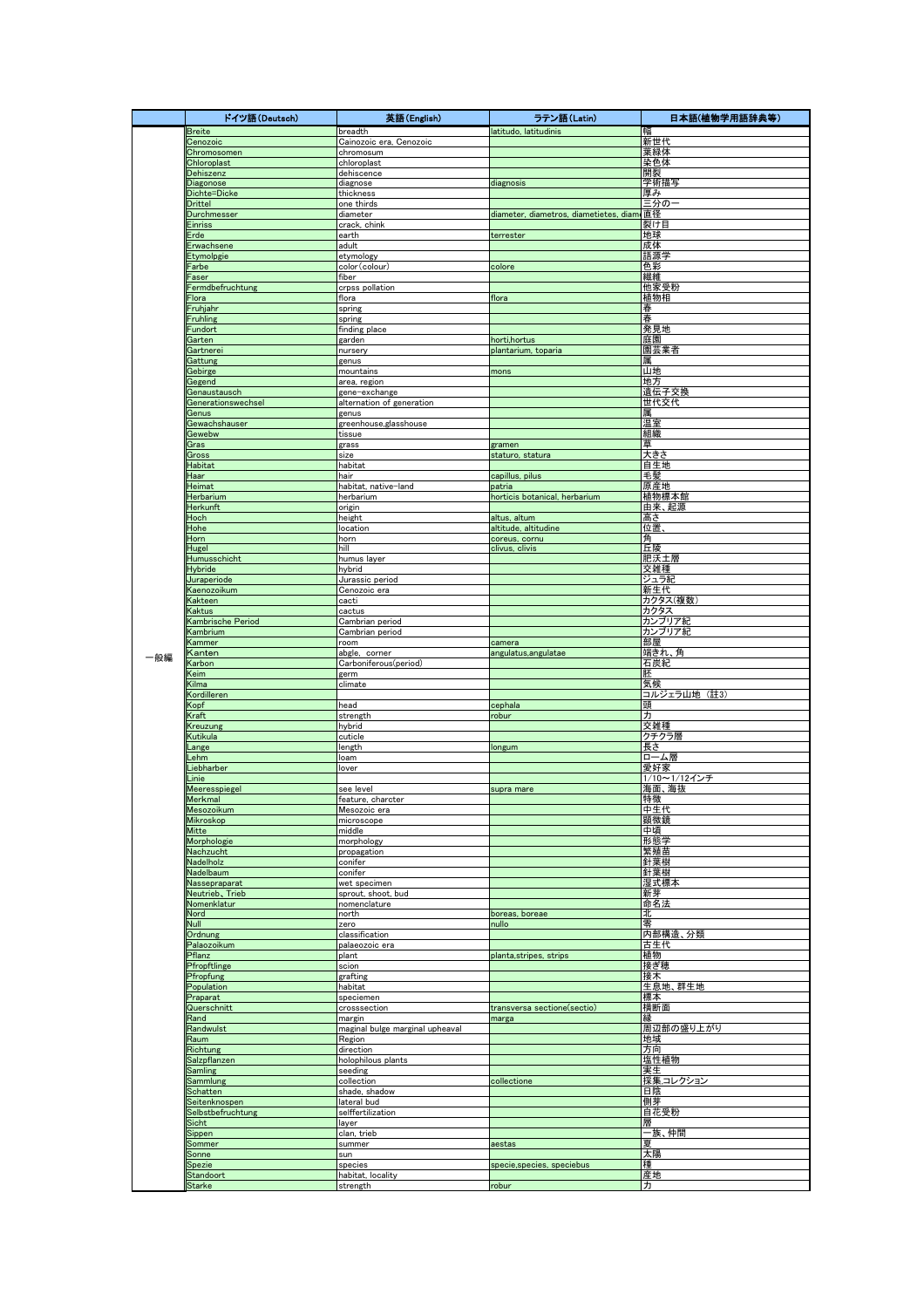|     | ドイツ語(Deutsch)                      | 英語(English)                            | ラテン語 (Latin)                            | 日本語(植物学用語辞典等)       |
|-----|------------------------------------|----------------------------------------|-----------------------------------------|---------------------|
|     | Breite                             | breadth                                | latitudo, latitudinis                   | 幅                   |
|     | Cenozoic                           | Cainozoic era, Cenozoic                |                                         | 新世代                 |
|     | Chromosomen<br>Chloroplast         | chromosum<br>chloroplast               |                                         | 葉緑体<br>染色体          |
|     | Dehiszenz                          | dehiscence                             |                                         | 開裂                  |
|     | Diagonose                          | diagnose                               | diagnosis                               | 学術描写                |
|     | Dichte=Dicke                       | thickness                              |                                         | 厚み                  |
|     | <b>Drittel</b><br>Durchmesser      | one thirds<br>diameter                 | diameter, diametros, diametietes, diam  | 三分の−<br>直径          |
|     | Einriss                            | crack, chink                           |                                         | 裂け目                 |
|     | Erde                               | earth                                  | terrester                               | 地球                  |
|     | Erwachsene                         | adult                                  |                                         | 成体                  |
|     | Etymolpgie<br>Farbe                | etymology<br>color(colour)             |                                         | 語源学                 |
|     | Faser                              | fiber                                  | colore                                  | 色彩<br>繊維            |
|     | Fermdbefruchtung                   | crpss pollation                        |                                         | 他家受粉                |
|     | Flora                              | flora                                  | flora                                   | 植物相                 |
|     | Fruhjahr                           | spring                                 |                                         | 春                   |
|     | <b>Fruhling</b><br>Fundort         | spring<br>finding place                |                                         | 春<br>発見地            |
|     | Garten                             | garden                                 | horti, hortus                           | 庭園                  |
|     | Gartnerei                          | nursery                                | plantarium, toparia                     | 園芸業者                |
|     | Gattung                            | genus                                  |                                         | 属                   |
|     | Gebirge<br>Gegend                  | mountains<br>area, region              | mons                                    | 山地<br>地方            |
|     | Genaustausch                       | gene-exchange                          |                                         | 遺伝子交換               |
|     | Generationswechsel                 | alternation of generation              |                                         | 世代交代                |
|     | Genus                              | genus                                  |                                         | 属                   |
|     | Gewachshauser<br>Gewebw            | greenhouse, glasshouse<br>tissue       |                                         | 温室<br>組織            |
|     | Gras                               | grass                                  | gramen                                  | 草                   |
|     | Gross                              | size                                   | staturo, statura                        | 大きさ                 |
|     | Habitat                            | habitat                                |                                         | 自生地                 |
|     | Haar                               | hair                                   | capillus, pilus                         | 毛髪<br>原産地           |
|     | Heimat<br>Herbarium                | habitat, native-land<br>herbarium      | patria<br>horticis botanical, herbarium | 植物標本館               |
|     | Herkunft                           | origin                                 |                                         | <u>由来、起源</u>        |
|     | Hoch                               | height                                 | altus, altum                            | 高さ                  |
|     | Hohe                               | location                               | altitude, altitudine                    | 位置                  |
|     | Horn                               | horn                                   | coreus, cornu                           | 角                   |
|     | Hugel<br>Humusschicht              | hill<br>humus layer                    | clivus, clivis                          | 丘陵<br>肥沃土層          |
|     | <b>Hybride</b>                     | hybrid                                 |                                         | 交雑種                 |
|     | Juraperiode                        | Jurassic period                        |                                         | ジュラ紀                |
|     | Kaenozoikum                        | Cenozoic era                           |                                         | 新生代                 |
|     | Kakteen<br>Kaktus                  | cacti<br>cactus                        |                                         | カクタス(複数)<br>カクタス    |
|     | Kambrische Period                  | Cambrian period                        |                                         | カンブリア紀              |
|     | Kambrium                           | Cambrian period                        |                                         | カンブリア紀              |
|     | Kammer                             | room                                   | camera                                  | 部屋                  |
| 一般編 | Kanten<br><b>Karbon</b>            | abgle, corner<br>Carboniferous(period) | angulatus, angulatae                    | 端きれ、角<br>石炭紀        |
|     | Keim                               | germ                                   |                                         | 胚                   |
|     | Kilma                              | climate                                |                                         | 気候                  |
|     | Kordilleren                        |                                        |                                         | コルジェラ山地 (註3)        |
|     | Kopf                               | head                                   | cephala                                 | 頭                   |
|     | Kraft<br>Kreuzung                  | strength<br>hybrid                     | robur                                   | 力<br>交雑種            |
|     | Kutikula                           | cuticle                                |                                         | クチクラ層               |
|     | Lange                              | length                                 | longum                                  | ち灵                  |
|     | _ehm                               | loam                                   |                                         | ローム層                |
|     | Liebharber<br>_inie                | lover                                  |                                         | 愛好家<br>1/10~1/12インチ |
|     | Meeresspiegel                      | see level                              | supra mare                              | 海面、海抜               |
|     | Merkmal                            | feature, charcter                      |                                         | 特徵                  |
|     | <u>Mesozoikum</u>                  | Mesozoic era                           |                                         | <u>中生代</u>          |
|     | Mikroskop<br>Mitte                 | microscope<br>middle                   |                                         | 顕微鏡<br>中頃           |
|     | Morphologie                        | morphology                             |                                         | 形態学                 |
|     | Nachzucht                          | propagation                            |                                         | 繁殖苗                 |
|     | Nadelholz                          | conifer                                |                                         | 針葉樹                 |
|     | Nadelbaum                          | conifer                                |                                         | 針葉樹<br>湿式標本         |
|     | Nassepraparat<br>Neutrieb, Trieb   | wet specimen<br>sprout, shoot, bud     |                                         | 新芽                  |
|     | Nomenklatur                        | nomenclature                           |                                         | 命名法                 |
|     | Nord                               | north                                  | boreas, boreae                          | 北                   |
|     | Null                               | zero                                   | nullo                                   | 零                   |
|     | Ordnung<br>Palaozoikum             | classification<br>palaeozoic era       |                                         | 内部構造、分類<br>古生代      |
|     | Pflanz                             | plant                                  | planta, stripes, strips                 | 植物                  |
|     | Pfropftlinge                       | scion                                  |                                         | 接ぎ穂                 |
|     | Pfropfung                          | grafting                               |                                         | 接木                  |
|     | Population<br>Praparat             | habitat<br>speciemen                   |                                         | 生息地、群生地<br>標本       |
|     | Querschnitt                        | crosssection                           | transversa sectione(sectio)             | 横断面                 |
|     | Rand                               | margin                                 | marga                                   | 縁                   |
|     | Randwulst                          | maginal bulge marginal upheaval        |                                         | 周辺部の盛り上がり           |
|     | Raum<br>Richtung                   | Region<br>direction                    |                                         | 地域<br>方向            |
|     | Salzpflanzen                       | holophilous plants                     |                                         | 塩性植物                |
|     | Samling                            | seeding                                |                                         | 実生                  |
|     | Sammlung                           | collection                             | collectione                             | 採集コレクション            |
|     | Schatten                           | shade, shadow                          |                                         | 日陰                  |
|     | Seitenknospen<br>Selbstbefruchtung | lateral bud<br>selffertilization       |                                         | 側芽<br>自花受粉          |
|     | Sicht                              | layer                                  |                                         | 層                   |
|     | Sippen                             | clan, trieb                            |                                         | 一族、仲間               |
|     | Sommer                             | summer                                 | aestas                                  | 臭                   |
|     | Sonne                              | sun                                    |                                         | 太陽<br>種             |
|     | Spezie<br>Standoort                | species<br>habitat, locality           | specie, species, speciebus              | 産地                  |
|     | <b>Starke</b>                      | strength                               | robur                                   | 力                   |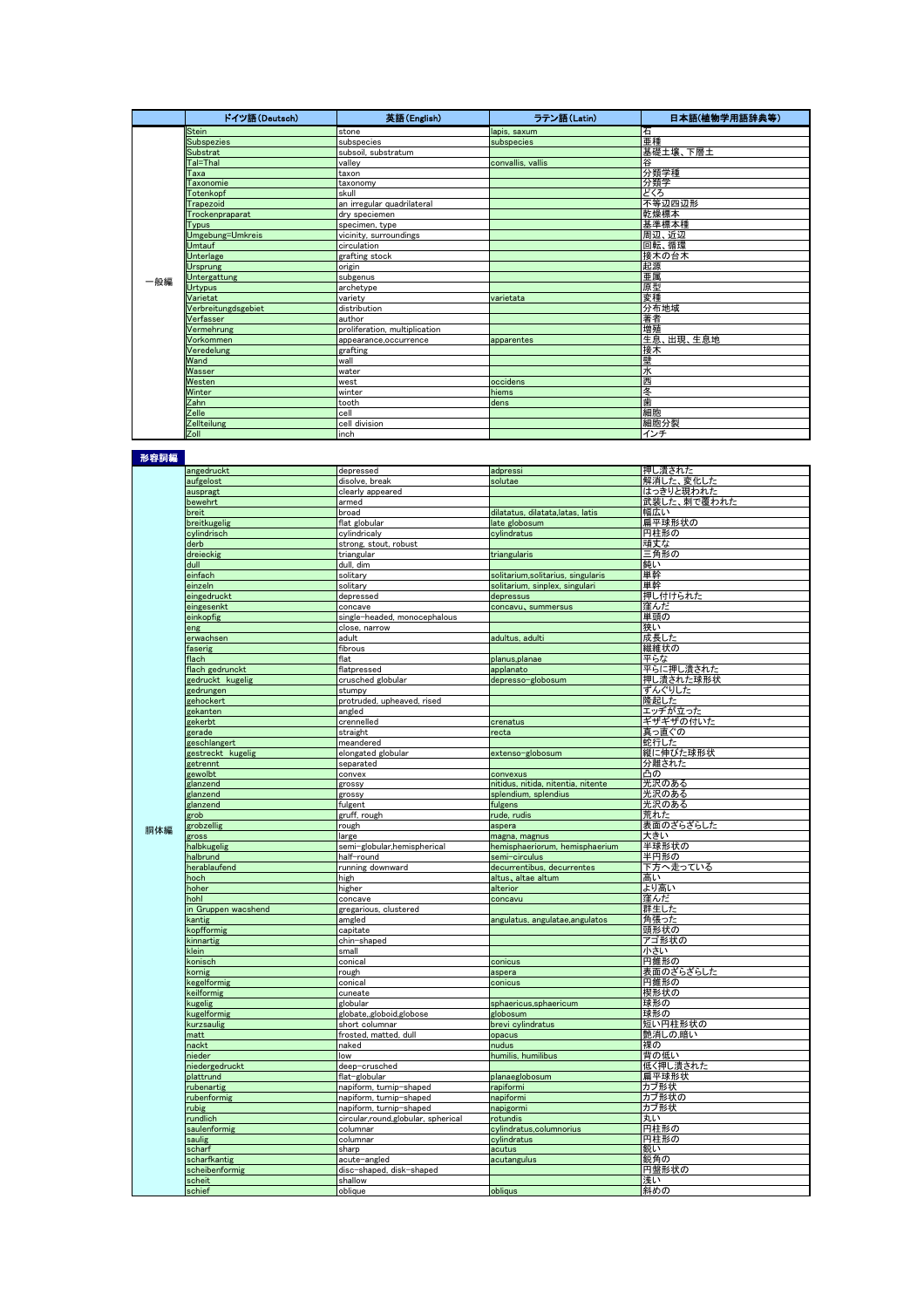|     | ドイツ語 (Deutsch)      | 英語(English)                   | ラテン語 (Latin)      | 日本語(植物学用語辞典等) |
|-----|---------------------|-------------------------------|-------------------|---------------|
|     | <b>Stein</b>        | stone                         | lapis, saxum      | 石             |
|     | <b>Subspezies</b>   | subspecies                    | subspecies        | 亜種            |
|     | Substrat            | subsoil, substratum           |                   | 基礎土壌、下層土      |
|     | Tal=Thal            | vallev                        | convallis, vallis | 谷             |
|     | Taxa                | taxon                         |                   | 分類学種          |
|     | Taxonomie           | taxonomy                      |                   | 分類学           |
|     | Totenkopf           | skull                         |                   | どくろ           |
|     | Trapezoid           | an irregular quadrilateral    |                   | 不等辺四辺形        |
|     | Trockenpraparat     | dry speciemen                 |                   | 乾燥標本          |
|     | Tvpus               | specimen, type                |                   | 基準標本種         |
|     | Umgebung=Umkreis    | vicinity, surroundings        |                   | 周辺、近辺         |
|     | <b>Umtauf</b>       | circulation                   |                   | 回転、循環         |
|     | <b>Unterlage</b>    | grafting stock                |                   | 接木の台木         |
|     | Ursprung            | origin                        |                   | 起源            |
| 一般編 | Untergattung        | subgenus                      |                   | 亜属            |
|     | <b>Urtypus</b>      | archetype                     |                   | 原型            |
|     | Varietat            | variety                       | varietata         | 変種            |
|     | Verbreitungdsgebiet | distribution                  |                   | 分布地域          |
|     | Verfasser           | author                        |                   | 著者            |
|     | Vermehrung          | proliferation, multiplication |                   | 増殖            |
|     | Vorkommen           | appearance.occurrence         | apparentes        | 生息、出現、生息地     |
|     | Veredelung          | grafting                      |                   | 接木            |
|     | Wand                | wall                          |                   | 壁             |
|     | Wasser              | water                         |                   | 水             |
|     | Westen              | west                          | occidens          | 西             |
|     | Winter              | winter                        | hiems             | 冬             |
|     | Zahn                | tooth                         | dens              | 歯             |
|     | Zelle               | Icell                         |                   | 細胞            |
|     | Zellteilung         | cell division                 |                   | 細胞分裂          |
|     | Zoll                | linch                         |                   | インチ           |

形容詞編

| 形容詞篇 |                     |                                    |                                    |             |
|------|---------------------|------------------------------------|------------------------------------|-------------|
|      | angedruckt          | depressed                          | adpressi                           | 押し潰された      |
|      | aufgelost           | disolve, break                     | solutae                            | 解消した、変化した   |
|      | auspragt            | clearly appeared                   |                                    | はっきりと現われた   |
|      | bewehrt             | armed                              |                                    | 武装した、刺で覆われた |
|      | breit               | broad                              | dilatatus, dilatata, latas, latis  | 幅広い         |
|      | breitkugelig        | flat globular                      | late globosum                      | 扁平球形状の      |
|      | cylindrisch         | cylindricaly                       | cylindratus                        | 円柱形の        |
|      | derb                | strong, stout, robust              |                                    | 頑丈な         |
|      |                     |                                    |                                    |             |
|      | dreieckig           | triangular                         | triangularis                       | 三角形の        |
|      | dull                | dull, dim                          |                                    | 鈍い          |
|      | einfach             | solitary                           | solitarium, solitarius, singularis | 単幹          |
|      | einzeln             | solitary                           | solitarium, sinplex, singulari     | 単幹          |
|      | eingedruckt         | depressed                          | depressus                          | 押し付けられた     |
|      | eingesenkt          | concave                            | concavu, summersus                 | 窪んだ         |
|      | einkopfig           | single-headed, monocephalous       |                                    | 単頭の         |
|      | eng                 | close, narrow                      |                                    | 狭い          |
|      | erwachsen           | adult                              | adultus, adulti                    | 成長した        |
|      | faserig             | fibrous                            |                                    | 繊維状の        |
|      | flach               | flat                               | planus, planae                     | 平らな         |
|      | flach gedrunckt     | flatpressed                        | applanato                          | 平らに押し潰された   |
|      | gedruckt kugelig    | crusched globular                  | depresso-globosum                  | 押し潰された球形状   |
|      | gedrungen           | stumpy                             |                                    | ずんぐりした      |
|      | gehockert           | protruded, upheaved, rised         |                                    | 隆起した        |
|      | gekanten            | angled                             |                                    | エッヂが立った     |
|      | gekerbt             |                                    |                                    | ギザギザの付いた    |
|      |                     | crennelled<br>straight             | crenatus                           | 真っ直ぐの       |
|      | gerade              |                                    | recta                              |             |
|      | geschlangert        | meandered                          |                                    | 蛇行した        |
|      | gestreckt kugelig   | elongated globular                 | extenso-globosum                   | 縦に伸びた球形状    |
|      | getrennt            | separated                          |                                    | 分離された       |
|      | gewolbt             | convex                             | convexus                           | 凸の          |
|      | glanzend            | grossy                             | nitidus, nitida, nitentia, nitente | 光沢のある       |
|      | glanzend            | grossy                             | splendium, splendius               | 光沢のある       |
|      | glanzend            | fulgent                            | fulgens                            | 光沢のある       |
|      | grob                | gruff, rough                       | rude, rudis                        | <b>荒れた</b>  |
| 胴体編  | grobzellig          | rough                              | aspera                             | 表面のざらざらした   |
|      | gross               | large                              | magna, magnus                      | <b>大きい</b>  |
|      | halbkugelig         | semi-globular, hemispherical       | hemisphaeriorum, hemisphaerium     | 半球形状の       |
|      | halbrund            | half-round                         | semi-circulus                      | 半円形の        |
|      | herablaufend        | running downward                   | decurrentibus, decurrentes         | 下方へ走っている    |
|      | hoch                | high                               | altus, altae altum                 | 高い          |
|      | hoher               | higher                             | alterior                           | より高い        |
|      | hohl                | concave                            | concavu                            | 窪んだ         |
|      | in Gruppen wacshend | gregarious, clustered              |                                    | 群生した        |
|      | kantig              | amgled                             | angulatus, angulatae,angulatos     | 角張った        |
|      | <b>copfformig</b>   | capitate                           |                                    | 頭形状の        |
|      | kinnartig           | chin-shaped                        |                                    | アゴ形状の       |
|      | klein               | small                              |                                    | 小さい         |
|      | konisch             | conical                            | conicus                            | 円錐形の        |
|      | sornig              |                                    |                                    | 表面のざらざらした   |
|      |                     | rough                              | aspera                             | 円錐形の        |
|      | kegelformig         | conical                            | conicus                            |             |
|      | keilformig          | cuneate                            |                                    | 楔形状の        |
|      | kugelig             | globular                           | sphaericus, sphaericum             | 球形の         |
|      | kugelformig         | globate, globoid, globose          | globosum                           | 球形の         |
|      | kurzsaulig          | short columnar                     | brevi cylindratus                  | 短い円柱形状の     |
|      | matt                | frosted, matted, dull              | opacus                             | 艶消しの,暗い     |
|      | nackt               | naked                              | nudus                              | 裸の          |
|      | nieder              | low                                | humilis, humilibus                 | 背の低い        |
|      | niedergedruckt      | deep-crusched                      |                                    | 低く押し潰された    |
|      | plattrund           | flat-globular                      | planaeglobosum                     | 扁平球形状       |
|      | rubenartig          | napiform, turnip-shaped            | rapiformi                          | カブ形状        |
|      | ubenformig          | napiform, turnip-shaped            | napiformi                          | カブ形状の       |
|      | ubig                | napiform, turnip-shaped            | napigormi                          | カブ形状        |
|      | rundlich            | circular,round,globular, spherical | rotundis                           | 丸い          |
|      | saulenformig        | columnar                           | cylindratus, columnorius           | 円柱形の        |
|      | saulig              | columnar                           | cylindratus                        | 円柱形の        |
|      | scharf              | sharp                              | acutus                             | 鋭い          |
|      | scharfkantig        | acute-angled                       | acutangulus                        | 鋭角の         |
|      | scheibenformig      | disc-shaped, disk-shaped           |                                    | 円盤形状の       |
|      | scheit              | shallow                            |                                    | 浅い          |
|      | schief              | oblique                            | obliaus                            | 斜めの         |
|      |                     |                                    |                                    |             |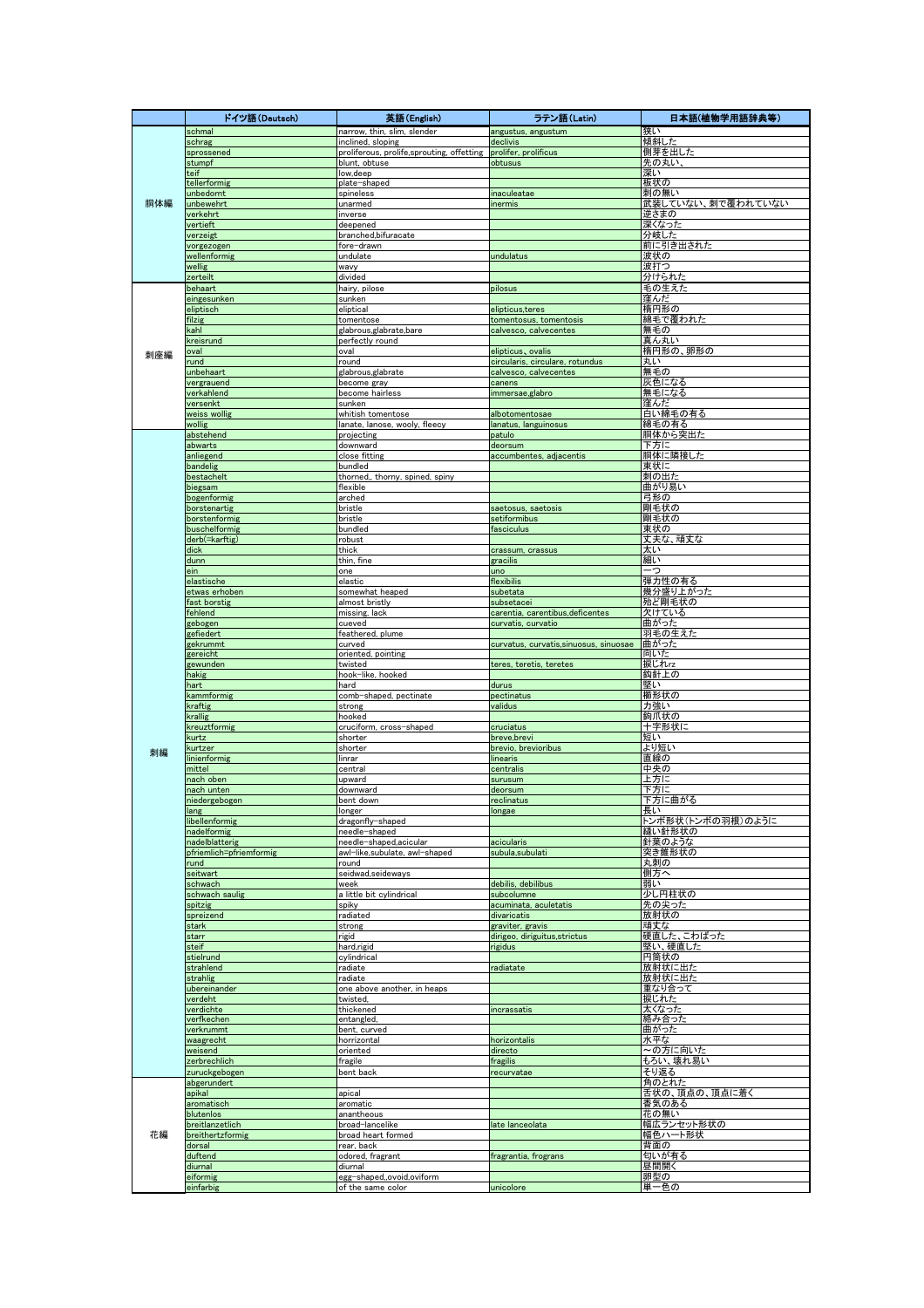|     | ドイツ語(Deutsch)                       | 英語(English)                                                    | ラテン語 (Latin)                                         | 日本語(植物学用語辞典等)             |
|-----|-------------------------------------|----------------------------------------------------------------|------------------------------------------------------|---------------------------|
|     | schmal                              | narrow, thin, slim, slender                                    | angustus, angustum                                   | 狭い                        |
|     | schrag<br>sprossened                | inclined, sloping<br>proliferous, prolife,sprouting, offetting | declivis<br>prolifer, prolificus                     | 傾斜した<br>側芽を出した            |
|     | stumpf                              | blunt, obtuse                                                  | obtusus                                              | 先の丸い                      |
|     | teif                                | low, deep                                                      |                                                      | 深い                        |
|     | tellerformig                        | plate-shaped                                                   |                                                      | 板状の                       |
| 胴体編 | unbedornt<br>unbewehrt              | spineless<br>unarmed                                           | inaculeatae<br>inermis                               | 刺の無い<br>武装していない、刺で覆われていない |
|     | verkehrt                            | inverse                                                        |                                                      | 逆さまの                      |
|     | vertieft                            | deepened                                                       |                                                      | 深くなった                     |
|     | verzeigt                            | branched, bifuracate                                           |                                                      | 分岐した                      |
|     | vorgezogen<br>wellenformig          | fore-drawn<br>undulate                                         | undulatus                                            | 前に引き出された<br>波状の           |
|     | wellig                              | wavy                                                           |                                                      | 波打つ                       |
|     | zerteilt                            | divided                                                        |                                                      | 分けられた                     |
|     | behaart                             | hairy, pilose                                                  | pilosus                                              | 毛の生えた                     |
|     | eingesunken<br>eliptisch            | sunken<br>eliptical                                            | elipticus, teres                                     | 窪んだ<br>楕円形の               |
|     | filzig                              | tomentose                                                      | tomentosus, tomentosis                               | 綿毛で覆われた                   |
|     | kahl                                | glabrous,glabrate,bare                                         | calvesco, calvecentes                                | 無毛の                       |
|     | kreisrund                           | perfectly round<br>oval                                        |                                                      | 真ん丸い<br>楕円形の、卵形の          |
| 刺座編 | oval<br>und                         | round                                                          | elipticus, ovalis<br>circularis, circulare, rotundus | 丸い                        |
|     | unbehaart                           | glabrous,glabrate                                              | calvesco, calvecentes                                | 無毛の                       |
|     | vergrauend                          | become gray                                                    | canens                                               | 灰色になる                     |
|     | verkahlend<br>versenkt              | become hairless<br>sunken                                      | immersae,glabro                                      | 無毛になる<br>窪んだ              |
|     | weiss wollig                        | whitish tomentose                                              | albotomentosae                                       | 白い綿毛の有る                   |
|     | vollig                              | lanate, lanose, wooly, fleecy                                  | lanatus, languinosus                                 | 綿毛の有る                     |
|     | abstehend                           | projecting                                                     | patulo                                               | 胴体から突出た                   |
|     | abwarts<br>anliegend                | downward<br>close fitting                                      | deorsum<br>accumbentes, adjacentis                   | 下方に<br>胴体に隣接した            |
|     | bandelig                            | bundled                                                        |                                                      | 東状に                       |
|     | bestachelt                          | thorned,, thorny, spined, spiny                                |                                                      | 刺の出た                      |
|     | biegsam                             | flexible                                                       |                                                      | 曲がり易い                     |
|     | bogenformig<br>borstenartig         | arched<br>bristle                                              | saetosus, saetosis                                   | 弓形の<br>剛毛状の               |
|     | borstenformig                       | bristle                                                        | setiformibus                                         | 剛毛状の                      |
|     | buschelformig                       | bundled                                                        | fasciculus                                           | 東状の                       |
|     | derb(=karftig)                      | robust                                                         |                                                      | 丈夫な、頑丈な                   |
|     | dick<br>dunn                        | thick<br>thin, fine                                            | crassum, crassus<br>gracilis                         | 太い<br>細い                  |
|     | ein                                 | one                                                            | uno                                                  | -つ                        |
|     | elastische                          | elastic                                                        | flexibilis                                           | 弾力性の有る                    |
|     | etwas erhoben                       | somewhat heaped                                                | subetata                                             | 幾分盛り上がった                  |
|     | fast borstig<br>fehlend             | almost bristly<br>missing, lack                                | subsetacei<br>carentia, carentibus, deficentes       | 殆ど剛毛状の<br>欠けている           |
|     | gebogen                             | cueved                                                         | curvatis, curvatio                                   | 曲がった                      |
|     | gefiedert                           | feathered, plume                                               |                                                      | 羽毛の生えた                    |
|     | gekrummt<br>gereicht                | curved<br>oriented, pointing                                   | curvatus, curvatis,sinuosus, sinuosae                | 曲がった<br>向いた               |
|     | gewunden                            | twisted                                                        | teres, teretis, teretes                              | 捩じれrz                     |
|     | hakig                               | hook-like, hooked                                              |                                                      | 鈎針上の                      |
|     | hart                                | hard                                                           | durus                                                | 堅い                        |
|     | kammformig<br>kraftig               | comb-shaped, pectinate<br>strong                               | pectinatus<br>validus                                | 櫛形状の<br>力強い               |
|     | krallig                             | hooked                                                         |                                                      | 鉤爪状の                      |
|     | kreuztformig                        | cruciform, cross-shaped                                        | cruciatus                                            | 十字形状                      |
|     | kurtz<br>kurtzer                    | shorter<br>shorter                                             | breve,brevi<br>brevio, brevioribus                   | 短い<br>より短い                |
| 刺編  | linienformig                        | linrar                                                         | linearis                                             | 直線の                       |
|     | mittel                              | central                                                        | centralis                                            | 中央の                       |
|     | ach oben<br>nach unten              | upward                                                         | surusum                                              | 上方に<br>下方に                |
|     | niedergebogen                       | downward<br>bent down                                          | deorsum<br>reclinatus                                | 下方に曲がる                    |
|     | lang                                | longer                                                         | longae                                               | 長い                        |
|     | libellenformig                      | dragonfly-shaped                                               |                                                      | トンボ形状(トンボの羽根)のように         |
|     | nadelformig<br>nadelblatterig       | needle-shaped<br>needle-shaped,acicular                        | acicularis                                           | 縫い針形状の<br>針葉のような          |
|     | pfriemlich=pfriemformig             | awl-like,subulate, awl-shaped                                  | subula,subulati                                      | 突き錐形状の                    |
|     | rund                                | round                                                          |                                                      | 丸刺の                       |
|     | seitwart<br>schwach                 | seidwad,seideways<br>week                                      | debilis, debilibus                                   | 側方へ<br>弱い                 |
|     | schwach saulig                      | a little bit cylindrical                                       | subcolumne                                           | 少し円柱状の                    |
|     | spitzig                             | spiky                                                          | acuminata, aculetatis                                | <u> 先の尖った</u>             |
|     | spreizend                           | radiated                                                       | divaricatis                                          | 放射状の                      |
|     | stark<br>starr                      | strong<br>rigid                                                | graviter, gravis<br>dirigeo, diriguitus, strictus    | 頑丈な<br><u>硬直した、こわばった</u>  |
|     | steif                               | hard, rigid                                                    | rigidus                                              | <u>堅い、硬直した</u>            |
|     | stielrund                           | cylindrical                                                    |                                                      | 円筒状の                      |
|     | strahlend                           | radiate                                                        | radiatate                                            | 放射状に出た                    |
|     | strahlig<br>ubereinander            | radiate<br>one above another, in heaps                         |                                                      | 放射状に出た<br>重なり合って          |
|     | verdeht                             | twisted,                                                       |                                                      | 捩じれた                      |
|     | verdichte                           | thickened                                                      | incrassatis                                          | 太くなった                     |
|     | verfkechen<br>verkrummt             | entangled,<br>bent, curved                                     |                                                      | 絡み合った<br>曲がった             |
|     | waagrecht                           | horrizontal                                                    | horizontalis                                         | 水平な                       |
|     | weisend                             | oriented                                                       | directo                                              | <mark>~の方に向いた</mark>      |
|     | zerbrechlich                        | fragile                                                        | fragilis                                             | もろい、壊れ易い                  |
|     | zuruckgebogen<br>abgerundert        | bent back                                                      | recurvatae                                           | そり返る<br>角のとれた             |
|     | apikal                              | apical                                                         |                                                      | 舌状の、頂点の、頂点に着く             |
|     | aromatisch                          | aromatic                                                       |                                                      | 香気のある                     |
|     | blutenlos                           | anantheous                                                     |                                                      | 花の無い                      |
| 花編  | breitlanzetlich<br>breithertzformig | broad-lancelike<br>broad heart formed                          | late lanceolata                                      | 幅広ランセット形状の<br>幅色ハート形状     |
|     | dorsal                              | rear, back                                                     |                                                      | 背面の                       |
|     | duftend                             | odored, fragrant                                               | fragrantia, frograns                                 | 匂いが有る                     |
|     | diurnal<br>eiformig                 | diurnal<br>egg-shaped,,ovoid,oviform                           |                                                      | 昼間開く<br>卵型の               |
|     | einfarbig                           | of the same color                                              | unicolore                                            | 単一色の                      |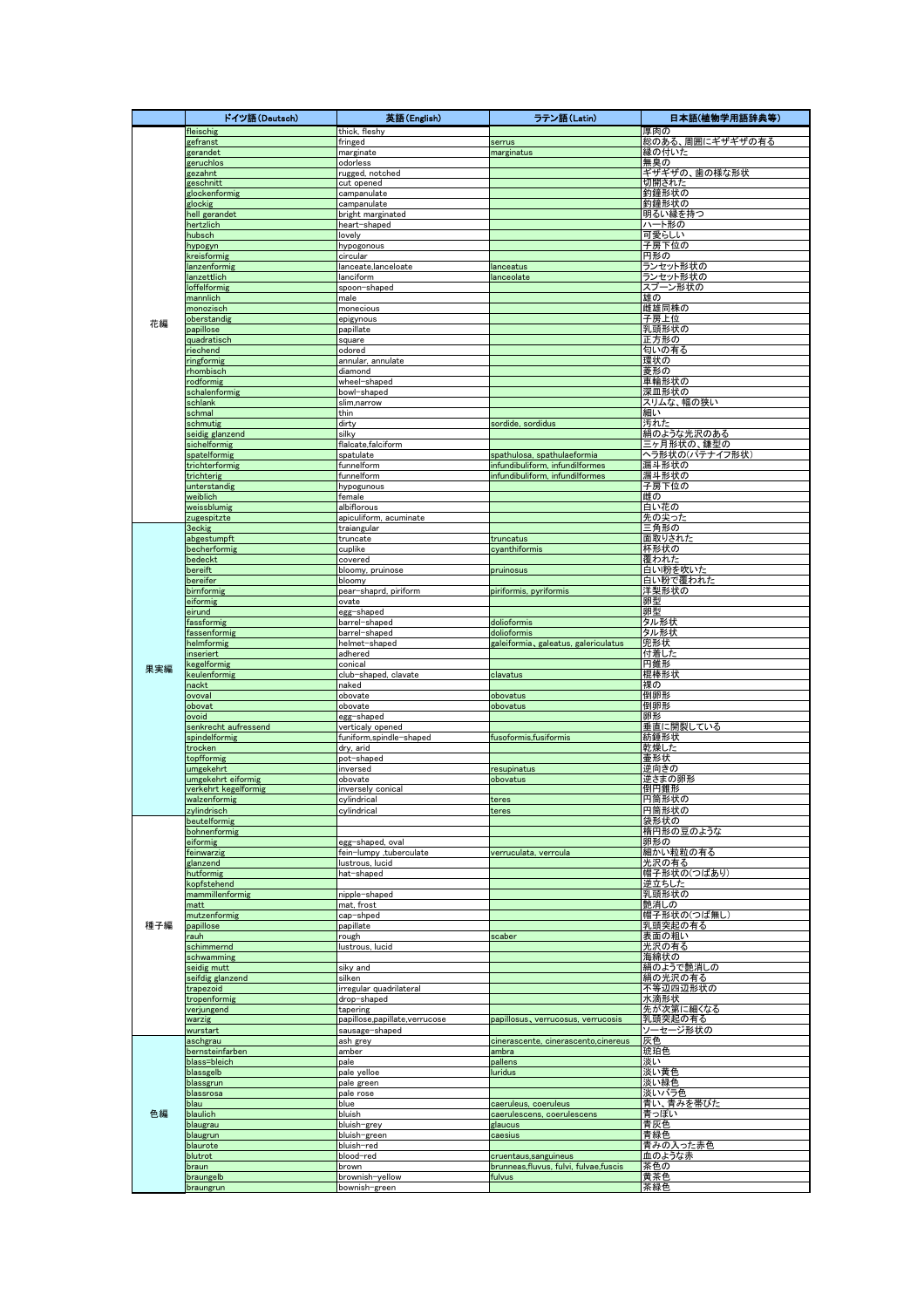|     | ドイツ語(Deutsch)                         | 英語(English)                                 | ラテン語 (Latin)                          | 日本語(植物学用語辞典等)            |
|-----|---------------------------------------|---------------------------------------------|---------------------------------------|--------------------------|
|     | fleischig                             | thick, fleshy                               |                                       | 厚肉の                      |
|     | gefranst                              | fringed                                     | serrus                                | 総のある、周囲にギザギザの有る          |
|     | gerandet                              | marginate                                   | marginatus                            | 縁の付いた                    |
|     | geruchlos<br>gezahnt                  | odorless<br>rugged, notched                 |                                       | 無臭の<br>ギザギザの、歯の様な形状      |
|     | geschnitt                             | cut opened                                  |                                       | 切開された                    |
|     | glockenformig                         | campanulate                                 |                                       | 釣鐘形状の                    |
|     | glockig                               | campanulate                                 |                                       | 釣鐘形状の                    |
|     | hell gerandet                         | bright marginated<br>heart-shaped           |                                       | 明るい縁を持つ                  |
|     | hertzlich<br>hubsch                   | lovely                                      |                                       | ハート形の<br>可愛らしい           |
|     | hypogyn                               | hypogonous                                  |                                       | 子房下位の                    |
|     | kreisformig                           | circular                                    |                                       | 円形の                      |
|     | anzenformig                           | lanceate,lanceloate                         | lanceatus                             | ランセット形状の                 |
|     | lanzettlich                           | lanciform                                   | lanceolate                            | ランセット形状の                 |
|     | <b>Ioffelformig</b><br>mannlich       | spoon-shaped<br>male                        |                                       | スプーン形状の<br>雄の            |
|     | monozisch                             | monecious                                   |                                       | 雌雄同株の                    |
| 花編  | oberstandig                           | epigynous                                   |                                       | 子房上位                     |
|     | papillose                             | papillate                                   |                                       | 乳頭形状の                    |
|     | quadratisch                           | square                                      |                                       | 正方形の                     |
|     | <i>r</i> iechend<br>ingformig         | odored<br>annular, annulate                 |                                       | 匂いの有る<br>環状の             |
|     | rhombisch                             | diamond                                     |                                       | 菱形の                      |
|     | <b>odformig</b>                       | wheel-shaped                                |                                       | 車輪形状の                    |
|     | schalenformig                         | bowl-shaped                                 |                                       | 深皿形状の                    |
|     | schlank                               | slim,narrow                                 |                                       | スリムな、幅の狭い                |
|     | schmal<br>schmutig                    | thin                                        |                                       | 細い                       |
|     | seidig glanzend                       | dirty<br>silkv                              | sordide, sordidus                     | 汚れた<br><u>絹のような光沢のある</u> |
|     | sichelformig                          | flalcate,falciform                          |                                       | 三ヶ月形状の、鎌型の               |
|     | spatelformig                          | spatulate                                   | spathulosa, spathulaeformia           | ヘラ形状の(パテナイフ形状)           |
|     | trichterformig                        | funnelform                                  | infundibuliform, infundilformes       | 漏斗形状の                    |
|     | trichterig<br>unterstandig            | funnelform<br>hypogunous                    | infundibuliform, infundilformes       | 漏斗形状の<br>子房下位の           |
|     | weiblich                              | female                                      |                                       | 雌の                       |
|     | weissblumig                           | albiflorous                                 |                                       | 白い花の                     |
|     | zugespitzte                           | apiculiform, acuminate                      |                                       | 先の尖った                    |
|     | <b>3eckig</b>                         | traiangular                                 |                                       | 三角形の                     |
|     | abgestumpft                           | truncate                                    | truncatus<br>cvanthiformis            | 面取りされた                   |
|     | becherformig<br>bedeckt               | cuplike<br>covered                          |                                       | 杯形状の<br>覆われた             |
|     | bereift                               | bloomy, pruinose                            | pruinosus                             | 白い粉を吹いた                  |
|     | bereifer                              | bloomy                                      |                                       | 白い粉で覆われた                 |
|     | birnformig                            | pear-shaprd, piriform                       | piriformis, pyriformis                | 洋梨形状の                    |
|     | eiformig<br>eirund                    | ovate                                       |                                       | 卵型<br>卵型                 |
|     | fassformig                            | egg-shaped<br>barrel-shaped                 | dolioformis                           | タル形状                     |
|     | fassenformig                          | barrel-shaped                               | dolioformis                           | タル形状                     |
|     | helmformig                            | helmet-shaped                               | galeiformia, galeatus, galericulatus  | 兜形状                      |
|     | inseriert                             | adhered                                     |                                       | <u>付着した</u>              |
| 果実編 | kegelformig<br>keulenformig           | conical                                     |                                       | 円錐形                      |
|     | <b>nackt</b>                          | club-shaped, clavate<br>naked               | clavatus                              | 棍棒形状<br>裸の               |
|     | pvoval                                | obovate                                     | obovatus                              | 倒卵形                      |
|     | obovat                                | obovate                                     | obovatus                              | 倒卵形                      |
|     | biovc                                 | egg-shaped                                  |                                       | 卵形                       |
|     | senkrecht aufressend<br>spindelformig | verticaly opened<br>funiform,spindle-shaped | fusoformis,fusiformis                 | 垂直に開裂している<br>紡錘形状        |
|     | trocken                               | dry, arid                                   |                                       | 乾燥した                     |
|     | topfformig                            | pot-shaped                                  |                                       | 壷形状                      |
|     | umgekehrt                             | inversed                                    | resupinatus                           | 逆向きの                     |
|     | umgekehrt eiformig                    | obovate                                     | obovatus                              | 逆さまの卵形<br>倒円錐形           |
|     | verkehrt kegelformig<br>walzenformig  | inversely conical<br>cylindrical            | teres                                 | <u>円筒形状の</u>             |
|     | zylindrisch                           | cylindrical                                 | teres                                 | 円筒形状の                    |
|     | beutelformig                          |                                             |                                       | 袋形状の                     |
| 種子編 | bohnenformig                          |                                             |                                       | 楕円形の豆のような                |
|     | eiformig<br>feinwarzig                | egg-shaped, oval                            | verruculata, verrcula                 | 卵形の<br>細かい粒粒の有る          |
|     | glanzend                              | fein-lumpy ,tuberculate<br>lustrous, lucid  |                                       | 光沢の有る                    |
|     | hutformig                             | hat-shaped                                  |                                       | 帽子形状の(つばあり)              |
|     | kopfstehend                           |                                             |                                       | 逆立ちした                    |
|     | mammillenformig                       | nipple-shaped                               |                                       | 乳頭形状の                    |
|     | matt<br>mutzenformig                  | mat, frost<br>cap-shped                     |                                       | 艶消しの<br>帽子形状の(つば無し       |
|     | papillose                             | papillate                                   |                                       | 乳頭突起の有る                  |
|     | rauh                                  | rough                                       | scaber                                | 表面の粗い                    |
|     | schimmernd                            | lustrous, lucid                             |                                       | <u>光沢の有る</u>             |
|     | schwamming                            |                                             |                                       | 海綿状の                     |
|     | seidig mutt<br>seifdig glanzend       | siky and<br>silken                          |                                       | 絹のようで艶消しの<br>絹の光沢の有る     |
|     | trapezoid                             | irregular quadrilateral                     |                                       | 不等辺四辺形状の                 |
|     | tropenformig                          | drop-shaped                                 |                                       | 水滴形状                     |
|     | verjungend                            | tapering                                    |                                       | 先が次第に細くなる                |
|     | warzig                                | papillose,papillate,verrucose               | papillosus, verrucosus, verrucosis    | 乳頭突起の有る                  |
|     | wurstart<br>aschgrau                  | sausage-shaped<br>ash grey                  | cinerascente, cinerascento, cinereus  | ソーセージ形状の<br>灰色           |
|     | bernsteinfarben                       | amber                                       | ambra                                 | 琥珀色                      |
|     | blass=bleich                          | pale                                        | pallens                               | 淡い                       |
|     | blassgelb                             | pale yelloe                                 | luridus                               | 淡い黄色                     |
|     | blassgrun                             | pale green                                  |                                       | 淡い緑色                     |
|     | blassrosa<br>blau                     | pale rose<br>blue                           | caeruleus, coeruleus                  | 淡いバラ色<br>青い、青みを帯びた       |
| 色編  | blaulich                              | bluish                                      | caerulescens, coerulescens            | 青っぽい                     |
|     | blaugrau                              | bluish-grey                                 | glaucus                               | 青灰色                      |
|     | blaugrun                              | bluish-green                                | caesius                               | 青緑色                      |
|     | blaurote<br>blutrot                   | bluish-red<br>blood-red                     | cruentaus, sanguineus                 | 青みの入った赤色<br>血のような赤       |
|     | braun                                 | brown                                       | brunneas,fluvus, fulvi, fulvae,fuscis | 茶色の                      |
|     | braungelb                             | brownish-yellow                             | fulvus                                | 黄茶色                      |
|     | braungrun                             | bownish-green                               |                                       | 茶緑色                      |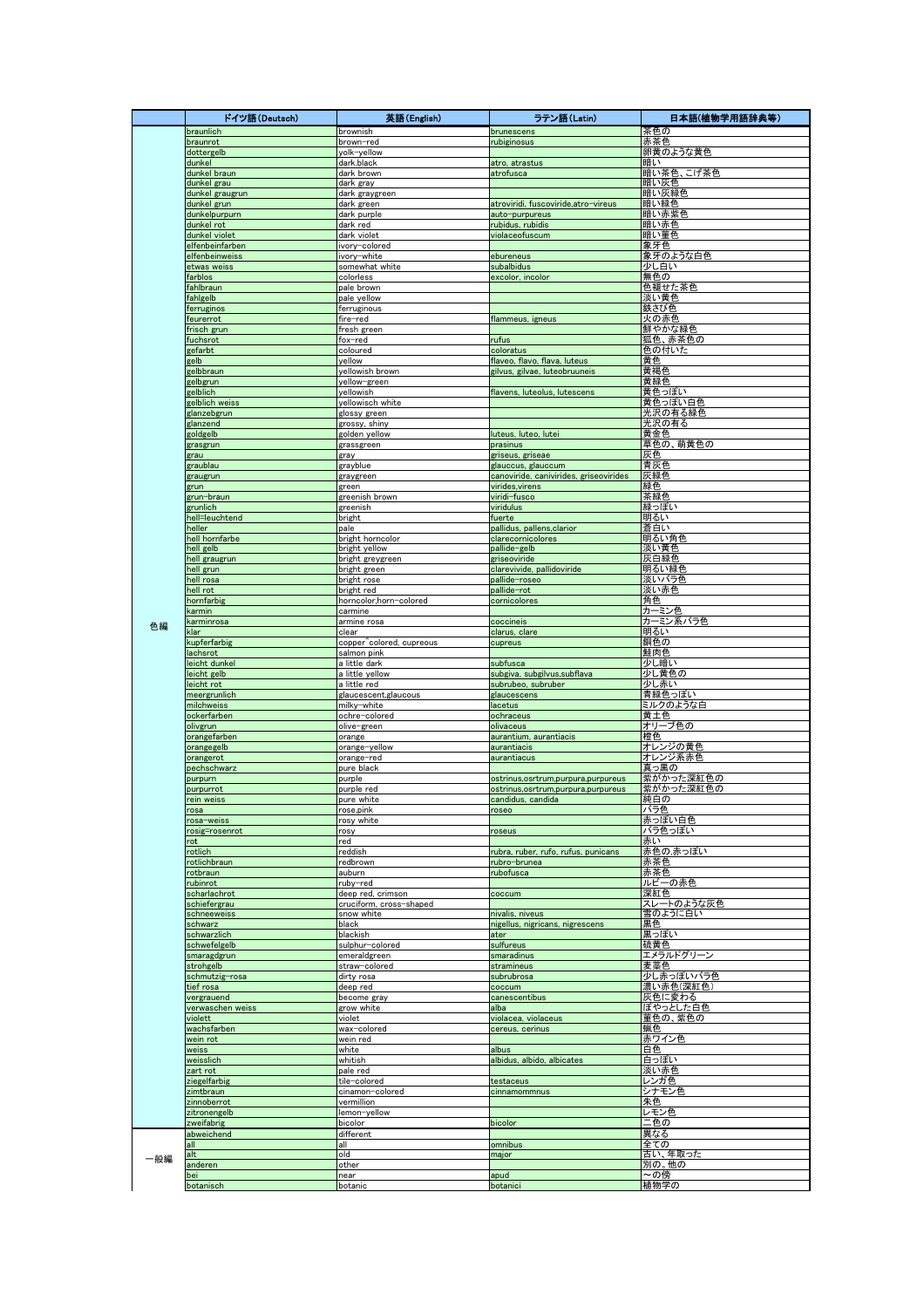|     | ドイツ語(Deutsch)                     | 英語(English)                                  | ラテン語 (Latin)                                              | 日本語(植物学用語辞典等)                   |
|-----|-----------------------------------|----------------------------------------------|-----------------------------------------------------------|---------------------------------|
|     | braunlich                         | brownish                                     | brunescens                                                | 茶色の                             |
|     | braunrot<br>dottergelb            | brown-red<br>yolk-yellow                     | rubiginosus                                               | 赤茶色<br>卵黄のような黄色                 |
|     | dunkel                            | dark.black                                   | atro, atrastus                                            | 暗い                              |
|     | dunkel braun                      | dark brown                                   | atrofusca                                                 | 暗い茶色、こげ茶色                       |
|     | dunkel grau                       | dark gray                                    |                                                           | 暗い灰色                            |
|     | dunkel graugrun<br>dunkel grun    | dark graygreen<br>dark green                 | atroviridi, fuscoviride,atro-vireus                       | 暗い灰緑色<br>暗い緑色                   |
|     | dunkelpurpurn                     | dark purple                                  | auto-purpureus                                            | 暗い赤紫色                           |
|     | dunkel rot                        | dark red                                     | rubidus, rubidis                                          | 暗い赤色                            |
|     | dunkel violet                     | dark violet                                  | violaceofuscum                                            | 暗い菫色                            |
|     | elfenbeinfarben<br>elfenbeinweiss | ivory-colored<br>ivory-white                 | ebureneus                                                 | 象牙色<br>象牙のような白色                 |
|     | etwas weiss                       | somewhat white                               | subalbidus                                                | 少し白い                            |
|     | farblos                           | colorless                                    | excolor, incolor                                          | 無色の                             |
|     | fahlbraun                         | pale brown<br>pale vellow                    |                                                           | 色褪せた茶色                          |
|     | fahlgelb<br>ferruginos            | ferruginous                                  |                                                           | 淡い黄色<br>鉄さび色                    |
|     | feurerrot                         | fire-red                                     | flammeus, igneus                                          | 火の赤色                            |
|     | frisch grun                       | fresh green                                  |                                                           | 鮮やかな緑色                          |
|     | fuchsrot<br>gefarbt               | fox-red<br>coloured                          | rufus<br>coloratus                                        | 狐色、赤茶色の<br>色の付いた                |
|     | gelb                              | yellow                                       | flaveo, flavo, flava, luteus                              | 黄色                              |
|     | gelbbraun                         | yellowish brown                              | gilvus, gilvae, luteobruuneis                             | 黄褐色                             |
|     | gelbgrun<br>gelblich              | yellow-green<br>yellowish                    | flavens, luteolus, lutescens                              | 黄緑色<br>黄色っぽい                    |
|     | gelblich weiss                    | yellowisch white                             |                                                           | 黄色っぽい白色                         |
|     | glanzebgrun                       | glossy green                                 |                                                           | 光沢の有る緑色                         |
|     | glanzend                          | grossy, shiny                                |                                                           | 光沢の有る<br>黄金色                    |
|     | goldgelb<br>grasgrun              | golden yellow<br>grassgreen                  | luteus, luteo, lutei<br>prasinus                          | 草色の、萌黄色の                        |
|     | grau                              | gray                                         | griseus, griseae                                          | 灰色                              |
|     | graublau                          | grayblue                                     | glauccus, glauccum                                        | 青灰色                             |
|     | graugrun<br>grun                  | graygreen<br>green                           | canoviride, canivirides, griseovirides<br>virides, virens | 灰緑色<br>緑色                       |
|     | grun-braun                        | greenish brown                               | viridi-fusco                                              | 茶緑色                             |
|     | grunlich                          | greenish                                     | viridulus                                                 | 緑っぽい                            |
|     | hell=leuchtend                    | bright                                       | fuerte                                                    | 明るい                             |
|     | heller<br>hell hornfarbe          | pale<br>bright horncolor                     | pallidus, pallens, clarior<br>clarecornicolores           | 蒼白い<br>明るい角色                    |
|     | hell gelb                         | bright yellow                                | pallide-gelb                                              | 淡い黄色                            |
|     | hell graugrun                     | bright greygreen                             | griseoviride                                              | 灰白緑色                            |
|     | hell grun                         | bright green                                 | clarevivide, pallidoviride                                | 明るい緑色                           |
|     | hell rosa<br>hell rot             | bright rose<br>bright red                    | pallide-roseo<br>pallide-rot                              | 淡いバラ色<br>淡い赤色                   |
|     | hornfarbig                        | horncolor,horn-colored                       | cornicolores                                              | 角色                              |
|     | karmin                            | carmine                                      |                                                           | カーミン色                           |
| 色編  | karminrosa<br>klar                | armine rosa<br>clear                         | coccineis<br>clarus, clare                                | カーミン系バラ色<br>明るい                 |
|     | kupferfarbig                      | copper^colored, cupreous                     | cupreus                                                   | 銅色の                             |
|     | lachsrot                          | salmon pink                                  |                                                           | 鮭肉色                             |
|     | leicht dunkel                     | a little dark                                | subfusca                                                  | 少し暗い                            |
|     | leicht gelb<br>leicht rot         | a little yellow<br>a little red              | subgiva, subgilvus, subflava<br>subrubeo, subruber        | 少し黄色の<br>少し赤い                   |
|     | meergrunlich                      | glaucescent, glaucous                        | glaucescens                                               | 青緑色っぽい                          |
|     | milchweiss                        | milky-white                                  | lacetus                                                   | ミルクのような白                        |
|     | ockerfarben<br>olivgrun           | ochre-colored<br>olive-green                 | ochraceus<br>olivaceus                                    | 黄土色<br>オリーブ色の                   |
|     | orangefarben                      | orange                                       | aurantium, aurantiacis                                    | 橙色                              |
|     | orangegelb                        | orange-yellow                                | aurantiacis                                               | <mark>オレンジの黄色</mark><br>オレンジ系赤色 |
|     | orangerot<br>pechschwarz          | orange-red<br>pure black                     | aurantiacus                                               | 真っ黒の                            |
|     | purpurn                           | purple                                       | ostrinus, osrtrum, purpura, purpureus                     | 紫がかった深紅色の                       |
|     | purpurrot                         | purple red                                   | ostrinus, osrtrum, purpura, purpureus                     | 紫がかった深紅色の                       |
|     | rein weiss                        | pure white                                   | candidus, candida                                         | 純白の                             |
|     | rosa<br>rosa-weiss                | rose,pink<br>rosy white                      | roseo                                                     | バラ色<br>赤っぽい白色                   |
|     | rosig=rosenrot                    | rosy                                         | roseus                                                    | バラ色っぽい                          |
|     | rot                               | red                                          |                                                           | 赤い                              |
|     | rotlich<br>rotlichbraun           | reddish<br>redbrown                          | rubra, ruber, rufo, rufus, punicans<br>rubro-brunea       | 赤色の,赤っぽい<br> 赤茶色                |
|     | rotbraun                          | auburn                                       | rubofusca                                                 | 赤茶色                             |
|     | rubinrot                          | ruby-red                                     |                                                           | ルビーの赤色                          |
|     | scharlachrot<br>schiefergrau      | deep red, crimson<br>cruciform, cross-shaped | coccum                                                    | 深紅色<br>スレ <u>ートのような灰色</u>       |
|     | schneeweiss                       | snow white                                   | nivalis, niveus                                           | 雪のように白い                         |
|     | schwarz                           | black                                        | nigellus, nigricans, nigrescens                           | 黒色                              |
|     | schwarzlich<br>schwefelgelb       | blackish<br>sulphur-colored                  | ater<br>sulfureus                                         | 黒っぽい<br>硫黄色                     |
|     | smaragdgrun                       | emeraldgreen                                 | smaradinus                                                | エメラルドグリーン                       |
|     | strohgelb                         | straw-colored                                | stramineus                                                | 麦藁色                             |
|     | schmutzig-rosa                    | dirty rosa<br>deep red                       | subrubrosa                                                | 少し赤っぽいバラ色<br>濃い赤色(深紅色)          |
|     | tief rosa<br>vergrauend           | become gray                                  | coccum<br>canescentibus                                   | 灰色に変わる                          |
|     | verwaschen weiss                  | grow white                                   | alba                                                      | ぼやっとした白色                        |
|     | violett                           | violet                                       | violacea, violaceus                                       | 菫色の、紫色の                         |
|     | wachsfarben<br>wein rot           | wax-colored<br>wein red                      | cereus, cerinus                                           | 蝋色<br>赤ワイン色                     |
|     | weiss                             | white                                        | albus                                                     | 白色                              |
|     | weisslich                         | whitish                                      | albidus, albido, albicates                                | 白っぽい                            |
|     | zart rot<br>ziegelfarbig          | pale red<br>tile-colored                     | testaceus                                                 | 淡い赤色<br>レンガ色                    |
|     | zimtbraun                         | cinamon-colored                              | cinnamommnus                                              | シナモン色                           |
|     | zinnoberrot                       | vermillion                                   |                                                           | 朱色                              |
|     | zitronengelb<br>zweifabrig        | lemon-yellow<br>bicolor                      | bicolor                                                   | レモン色<br>二色の                     |
|     | abweichend                        | different                                    |                                                           | 異なる                             |
|     | all                               | all                                          | omnibus                                                   | <u> 全ての</u>                     |
| 一般編 | alt                               | old                                          | major                                                     | 古い、年取った                         |
|     | anderen<br>bei                    | other<br>near                                | apud                                                      | 別の。他の<br>~の傍                    |
|     | botanisch                         | botanic                                      | botanici                                                  | 植物学の                            |